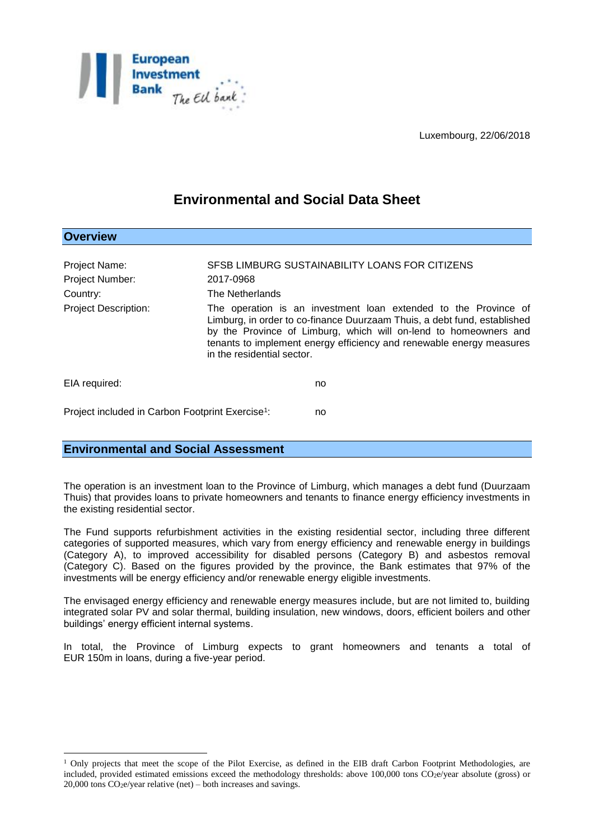

Luxembourg, 22/06/2018

# **Environmental and Social Data Sheet**

| <b>Overview</b>                                              |                                                                                                                                                                                                                                                                                                                       |                                                |
|--------------------------------------------------------------|-----------------------------------------------------------------------------------------------------------------------------------------------------------------------------------------------------------------------------------------------------------------------------------------------------------------------|------------------------------------------------|
| Project Name:<br>Project Number:<br>Country:                 | 2017-0968<br>The Netherlands                                                                                                                                                                                                                                                                                          | SFSB LIMBURG SUSTAINABILITY LOANS FOR CITIZENS |
| <b>Project Description:</b>                                  | The operation is an investment loan extended to the Province of<br>Limburg, in order to co-finance Duurzaam Thuis, a debt fund, established<br>by the Province of Limburg, which will on-lend to homeowners and<br>tenants to implement energy efficiency and renewable energy measures<br>in the residential sector. |                                                |
| EIA required:                                                |                                                                                                                                                                                                                                                                                                                       | no                                             |
| Project included in Carbon Footprint Exercise <sup>1</sup> : |                                                                                                                                                                                                                                                                                                                       | no                                             |

# **Environmental and Social Assessment**

 $\overline{a}$ 

The operation is an investment loan to the Province of Limburg, which manages a debt fund (Duurzaam Thuis) that provides loans to private homeowners and tenants to finance energy efficiency investments in the existing residential sector.

The Fund supports refurbishment activities in the existing residential sector, including three different categories of supported measures, which vary from energy efficiency and renewable energy in buildings (Category A), to improved accessibility for disabled persons (Category B) and asbestos removal (Category C). Based on the figures provided by the province, the Bank estimates that 97% of the investments will be energy efficiency and/or renewable energy eligible investments.

The envisaged energy efficiency and renewable energy measures include, but are not limited to, building integrated solar PV and solar thermal, building insulation, new windows, doors, efficient boilers and other buildings' energy efficient internal systems.

In total, the Province of Limburg expects to grant homeowners and tenants a total of EUR 150m in loans, during a five-year period.

 $1$  Only projects that meet the scope of the Pilot Exercise, as defined in the EIB draft Carbon Footprint Methodologies, are included, provided estimated emissions exceed the methodology thresholds: above 100,000 tons CO<sub>2</sub>e/year absolute (gross) or  $20,000$  tons  $CO<sub>2</sub>e/year$  relative (net) – both increases and savings.